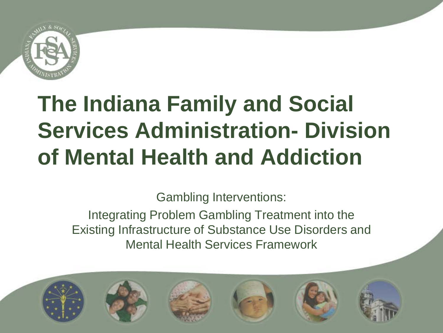

# **The Indiana Family and Social Services Administration- Division of Mental Health and Addiction**

Gambling Interventions:

Integrating Problem Gambling Treatment into the Existing Infrastructure of Substance Use Disorders and Mental Health Services Framework

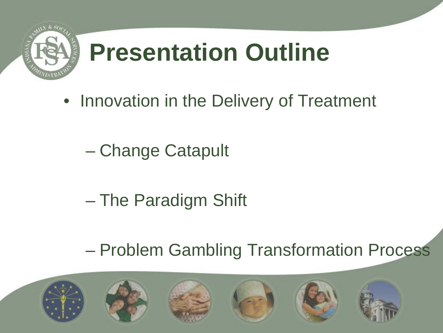

# **Presentation Outline**

- Innovation in the Delivery of Treatment
	- Change Catapult
	- The Paradigm Shift
	- Problem Gambling Transformation Process

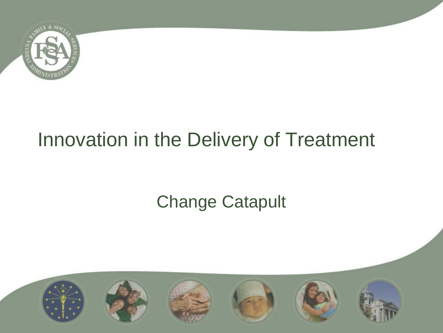

## Innovation in the Delivery of Treatment

### Change Catapult

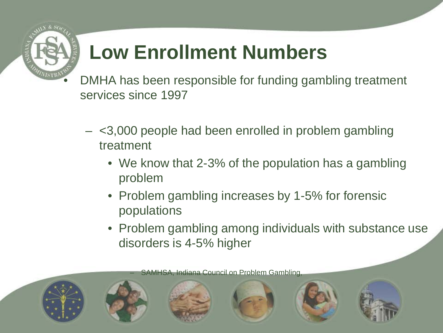

## **Low Enrollment Numbers**

DMHA has been responsible for funding gambling treatment services since 1997

- <3,000 people had been enrolled in problem gambling treatment
	- We know that 2-3% of the population has a gambling problem
	- Problem gambling increases by 1-5% for forensic populations
	- Problem gambling among individuals with substance use disorders is 4-5% higher

– SAMHSA, Indiana Council on Problem Gambling,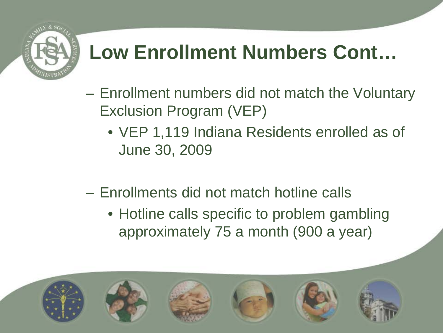

## **Low Enrollment Numbers Cont…**

- Enrollment numbers did not match the Voluntary Exclusion Program (VEP)
	- VEP 1,119 Indiana Residents enrolled as of June 30, 2009
- Enrollments did not match hotline calls
	- Hotline calls specific to problem gambling approximately 75 a month (900 a year)

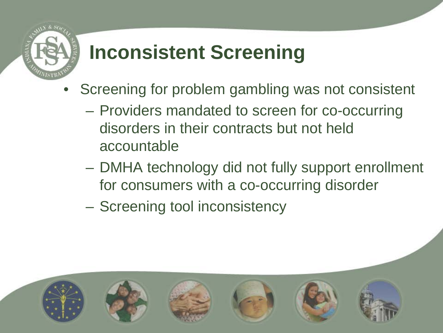

## **Inconsistent Screening**

- Screening for problem gambling was not consistent
	- Providers mandated to screen for co-occurring disorders in their contracts but not held accountable
	- DMHA technology did not fully support enrollment for consumers with a co-occurring disorder
	- Screening tool inconsistency

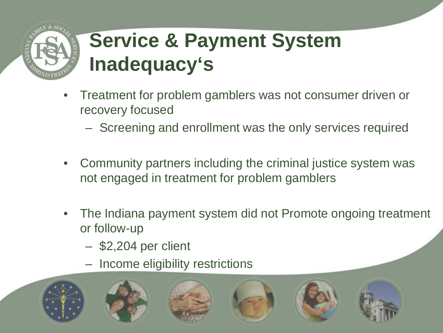## **Service & Payment System Inadequacy's**

- Treatment for problem gamblers was not consumer driven or recovery focused
	- Screening and enrollment was the only services required
- Community partners including the criminal justice system was not engaged in treatment for problem gamblers
- The Indiana payment system did not Promote ongoing treatment or follow-up
	- \$2,204 per client
	- Income eligibility restrictions

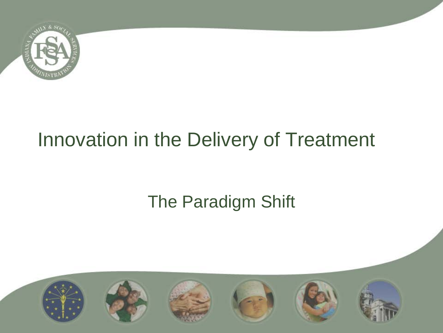

## Innovation in the Delivery of Treatment

### The Paradigm Shift

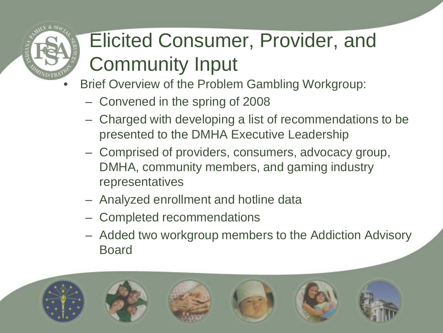## Elicited Consumer, Provider, and Community Input

- Brief Overview of the Problem Gambling Workgroup:
	- Convened in the spring of 2008
	- Charged with developing a list of recommendations to be presented to the DMHA Executive Leadership
	- Comprised of providers, consumers, advocacy group, DMHA, community members, and gaming industry representatives
	- Analyzed enrollment and hotline data
	- Completed recommendations
	- Added two workgroup members to the Addiction Advisory Board

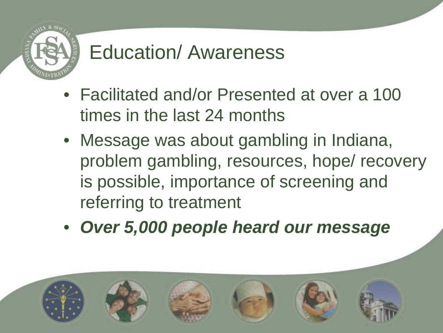

## Education/ Awareness

- Facilitated and/or Presented at over a 100 times in the last 24 months
- Message was about gambling in Indiana, problem gambling, resources, hope/ recovery is possible, importance of screening and referring to treatment
- *Over 5,000 people heard our message*

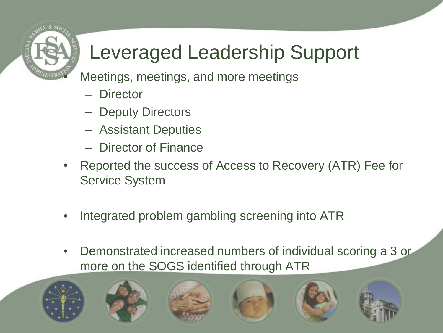

## Leveraged Leadership Support

• Meetings, meetings, and more meetings

- **Director**
- Deputy Directors
- Assistant Deputies
- Director of Finance
- Reported the success of Access to Recovery (ATR) Fee for Service System
- Integrated problem gambling screening into ATR
- Demonstrated increased numbers of individual scoring a 3 or more on the SOGS identified through ATR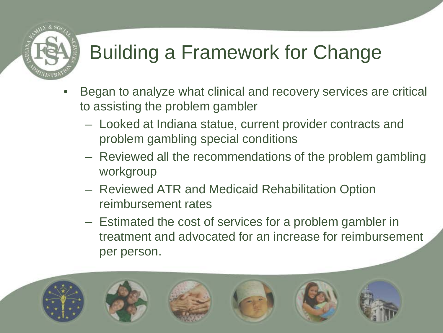## Building a Framework for Change

- Began to analyze what clinical and recovery services are critical to assisting the problem gambler
	- Looked at Indiana statue, current provider contracts and problem gambling special conditions
	- Reviewed all the recommendations of the problem gambling workgroup
	- Reviewed ATR and Medicaid Rehabilitation Option reimbursement rates
	- Estimated the cost of services for a problem gambler in treatment and advocated for an increase for reimbursement per person.

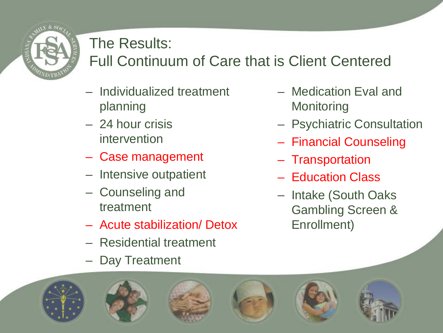

#### The Results:

#### Full Continuum of Care that is Client Centered

- Individualized treatment planning
- 24 hour crisis intervention
- Case management
- Intensive outpatient
- Counseling and treatment
- Acute stabilization/ Detox
- Residential treatment
- Day Treatment
- Medication Eval and **Monitoring**
- Psychiatric Consultation
- Financial Counseling
- Transportation
- Education Class
- Intake (South Oaks Gambling Screen & Enrollment)

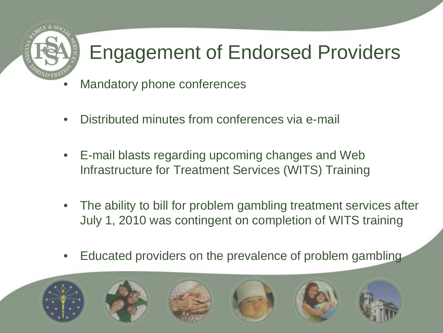

## Engagement of Endorsed Providers

- Mandatory phone conferences
- Distributed minutes from conferences via e-mail
- E-mail blasts regarding upcoming changes and Web Infrastructure for Treatment Services (WITS) Training
- The ability to bill for problem gambling treatment services after July 1, 2010 was contingent on completion of WITS training
- Educated providers on the prevalence of problem gambling

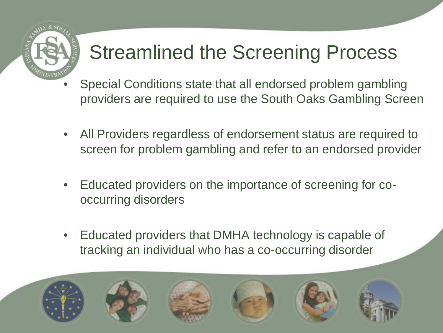

## Streamlined the Screening Process

- Special Conditions state that all endorsed problem gambling providers are required to use the South Oaks Gambling Screen
- All Providers regardless of endorsement status are required to screen for problem gambling and refer to an endorsed provider
- Educated providers on the importance of screening for cooccurring disorders
- Educated providers that DMHA technology is capable of tracking an individual who has a co-occurring disorder

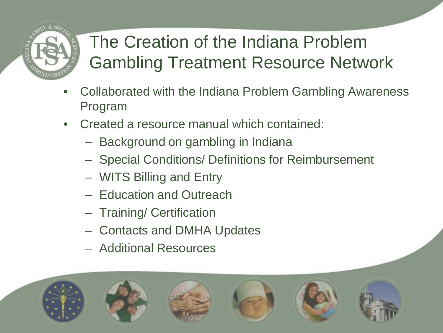## The Creation of the Indiana Problem Gambling Treatment Resource Network

- Collaborated with the Indiana Problem Gambling Awareness Program
- Created a resource manual which contained:
	- Background on gambling in Indiana
	- Special Conditions/ Definitions for Reimbursement
	- WITS Billing and Entry
	- Education and Outreach
	- Training/ Certification
	- Contacts and DMHA Updates
	- Additional Resources

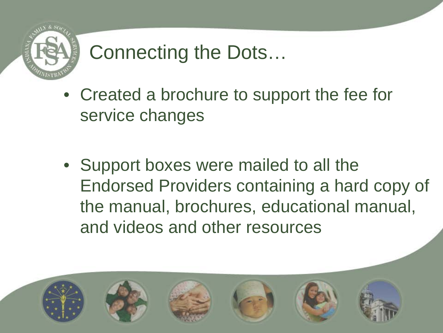

## Connecting the Dots…

- Created a brochure to support the fee for service changes
- Support boxes were mailed to all the Endorsed Providers containing a hard copy of the manual, brochures, educational manual, and videos and other resources

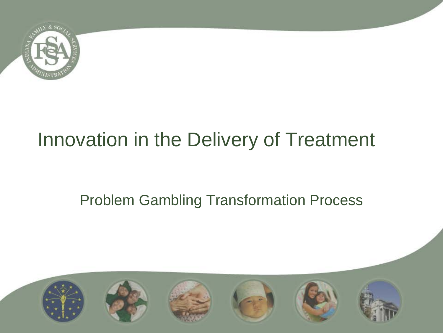

## Innovation in the Delivery of Treatment

#### Problem Gambling Transformation Process

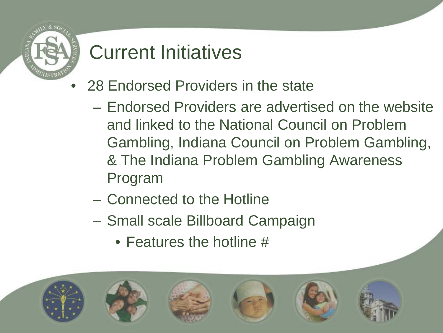

## Current Initiatives

- 28 Endorsed Providers in the state
	- Endorsed Providers are advertised on the website and linked to the National Council on Problem Gambling, Indiana Council on Problem Gambling, & The Indiana Problem Gambling Awareness Program
	- Connected to the Hotline
	- Small scale Billboard Campaign
		- Features the hotline #

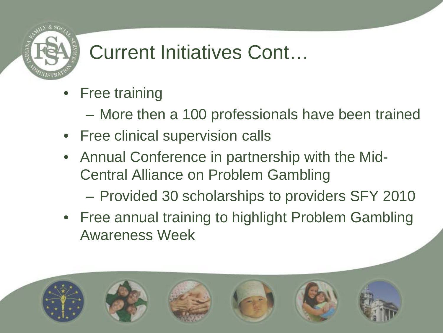

## Current Initiatives Cont…

- **Free training** 
	- More then a 100 professionals have been trained
- Free clinical supervision calls
- Annual Conference in partnership with the Mid-Central Alliance on Problem Gambling
	- Provided 30 scholarships to providers SFY 2010
- Free annual training to highlight Problem Gambling Awareness Week

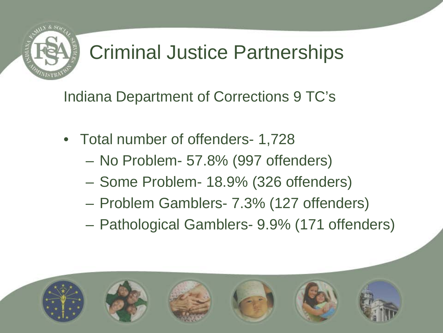

## Criminal Justice Partnerships

Indiana Department of Corrections 9 TC's

- Total number of offenders- 1,728
	- No Problem- 57.8% (997 offenders)
	- Some Problem- 18.9% (326 offenders)
	- Problem Gamblers- 7.3% (127 offenders)
	- Pathological Gamblers- 9.9% (171 offenders)

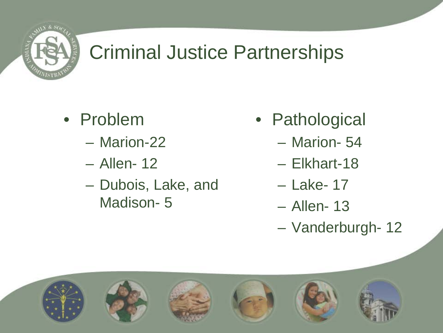

## Criminal Justice Partnerships

- Problem
	- Marion-22
	- Allen- 12
	- Dubois, Lake, and Madison- 5
- Pathological
	- Marion- 54
	- Elkhart-18
	- Lake- 17
	- Allen- 13
	- Vanderburgh- 12

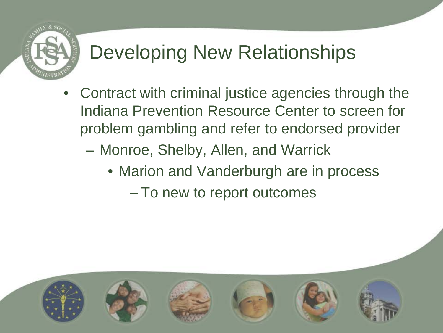

## Developing New Relationships

- Contract with criminal justice agencies through the Indiana Prevention Resource Center to screen for problem gambling and refer to endorsed provider
	- Monroe, Shelby, Allen, and Warrick
		- Marion and Vanderburgh are in process
			- To new to report outcomes

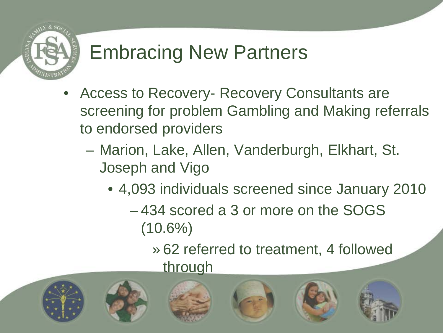

## Embracing New Partners

- Access to Recovery- Recovery Consultants are screening for problem Gambling and Making referrals to endorsed providers
	- Marion, Lake, Allen, Vanderburgh, Elkhart, St. Joseph and Vigo
		- 4,093 individuals screened since January 2010
			- 434 scored a 3 or more on the SOGS  $(10.6\%)$ 
				- » 62 referred to treatment, 4 followed through

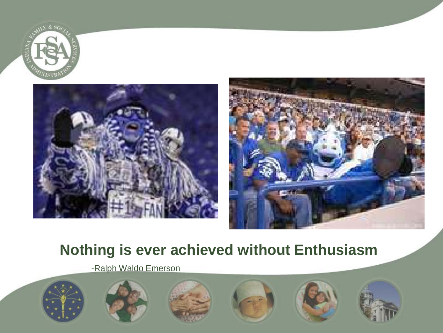





#### **Nothing is ever achieved without Enthusiasm**

-Ralph Waldo Emerson